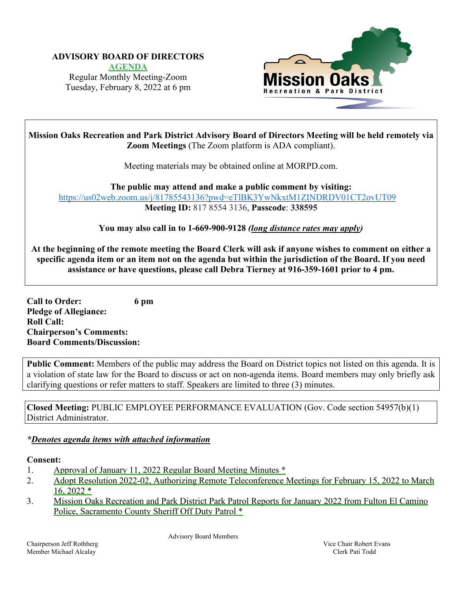#### **ADVISORY BOARD OF DIRECTORS**

**[AGENDA](https://www.morpd.com/files/2c3b2f129/00.0-FULL+0-AGENDA+February+8%2C+2022+ABM.pdf)**  Regular Monthly Meeting-Zoom Tuesday, February 8, 2022 at 6 pm



**Mission Oaks Recreation and Park District Advisory Board of Directors Meeting will be held remotely via Zoom Meetings** (The Zoom platform is ADA compliant).

Meeting materials may be obtained online at MORPD.com.

**The public may attend and make a public comment by visiting:**  <https://us02web.zoom.us/j/81785543136?pwd=eTlBK3YwNkxtM1ZINDRDV01CT2ovUT09> **Meeting ID:** 817 8554 3136, **Passcode**: **338595**

**You may also call in to 1-669-900-9128** *(long distance rates may apply)* 

**At the beginning of the remote meeting the Board Clerk will ask if anyone wishes to comment on either a specific agenda item or an item not on the agenda but within the jurisdiction of the Board. If you need assistance or have questions, please call Debra Tierney at 916-359-1601 prior to 4 pm.** 

**Call to Order: 6 pm Pledge of Allegiance: Roll Call: Chairperson's Comments: Board Comments/Discussion:**

**Public Comment:** Members of the public may address the Board on District topics not listed on this agenda. It is a violation of state law for the Board to discuss or act on non-agenda items. Board members may only briefly ask clarifying questions or refer matters to staff. Speakers are limited to three (3) minutes.

**Closed Meeting:** PUBLIC EMPLOYEE PERFORMANCE EVALUATION (Gov. Code section 54957(b)(1) District Administrator.

#### *\*Denotes agenda items with attached information*

#### **Consent:**

- 1. Approval of January [11, 2022 Regular Board Meeting Minutes \\*](https://www.morpd.com/files/f3aa30f05/01.0-January+Meeting+Minutes.pdf)
- 2. [Adopt Resolution 2022-02, Authorizing Remote Teleconference Meetings](https://www.morpd.com/files/c5bfb497e/02.0-Staff+report+Resolution.pdf) for February 15, 2022 to March 16, 2022 \*
- 3. Mission Oaks Recreation and Park District Park Patrol Reports for January 2022 from Fulton El Camino Police, [Sacramento County Sheriff Off](https://www.morpd.com/files/97912b974/3.0-Park+Patrol+Reports+for+January+2022.pdf) Duty Patrol \*